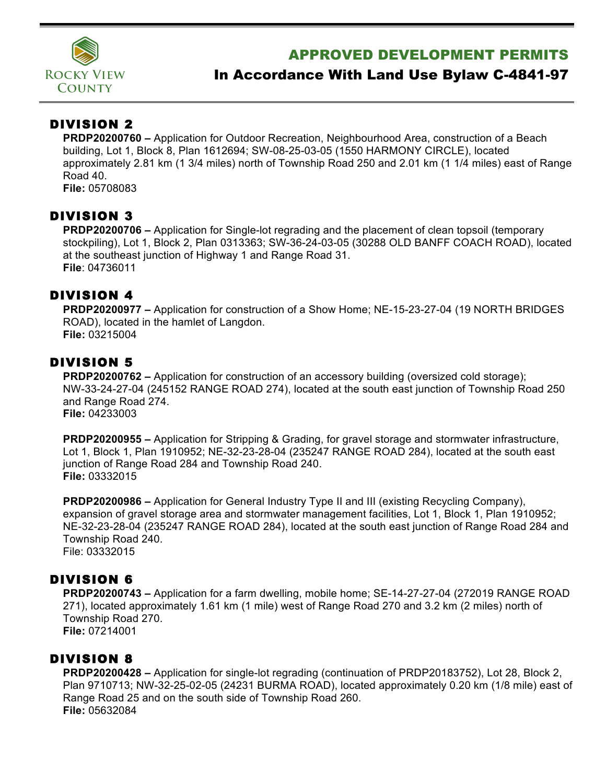

# APPROVED DEVELOPMENT PERMITS

# In Accordance With Land Use Bylaw C-4841-97

## DIVISION 2

**PRDP20200760 –** Application for Outdoor Recreation, Neighbourhood Area, construction of a Beach building, Lot 1, Block 8, Plan 1612694; SW-08-25-03-05 (1550 HARMONY CIRCLE), located approximately 2.81 km (1 3/4 miles) north of Township Road 250 and 2.01 km (1 1/4 miles) east of Range Road 40.

**File:** 05708083

#### DIVISION 3

**PRDP20200706 –** Application for Single-lot regrading and the placement of clean topsoil (temporary stockpiling), Lot 1, Block 2, Plan 0313363; SW-36-24-03-05 (30288 OLD BANFF COACH ROAD), located at the southeast junction of Highway 1 and Range Road 31. **File**: 04736011

## DIVISION 4

**PRDP20200977 –** Application for construction of a Show Home; NE-15-23-27-04 (19 NORTH BRIDGES ROAD), located in the hamlet of Langdon. **File:** 03215004

### DIVISION 5

**PRDP20200762 –** Application for construction of an accessory building (oversized cold storage); NW-33-24-27-04 (245152 RANGE ROAD 274), located at the south east junction of Township Road 250 and Range Road 274. **File:** 04233003

**PRDP20200955 –** Application for Stripping & Grading, for gravel storage and stormwater infrastructure, Lot 1, Block 1, Plan 1910952; NE-32-23-28-04 (235247 RANGE ROAD 284), located at the south east junction of Range Road 284 and Township Road 240. **File:** 03332015

**PRDP20200986 –** Application for General Industry Type II and III (existing Recycling Company), expansion of gravel storage area and stormwater management facilities, Lot 1, Block 1, Plan 1910952; NE-32-23-28-04 (235247 RANGE ROAD 284), located at the south east junction of Range Road 284 and Township Road 240. File: 03332015

#### DIVISION 6

**PRDP20200743 –** Application for a farm dwelling, mobile home; SE-14-27-27-04 (272019 RANGE ROAD 271), located approximately 1.61 km (1 mile) west of Range Road 270 and 3.2 km (2 miles) north of Township Road 270. **File:** 07214001

#### DIVISION 8

**PRDP20200428 –** Application for single-lot regrading (continuation of PRDP20183752), Lot 28, Block 2, Plan 9710713; NW-32-25-02-05 (24231 BURMA ROAD), located approximately 0.20 km (1/8 mile) east of Range Road 25 and on the south side of Township Road 260. **File:** 05632084